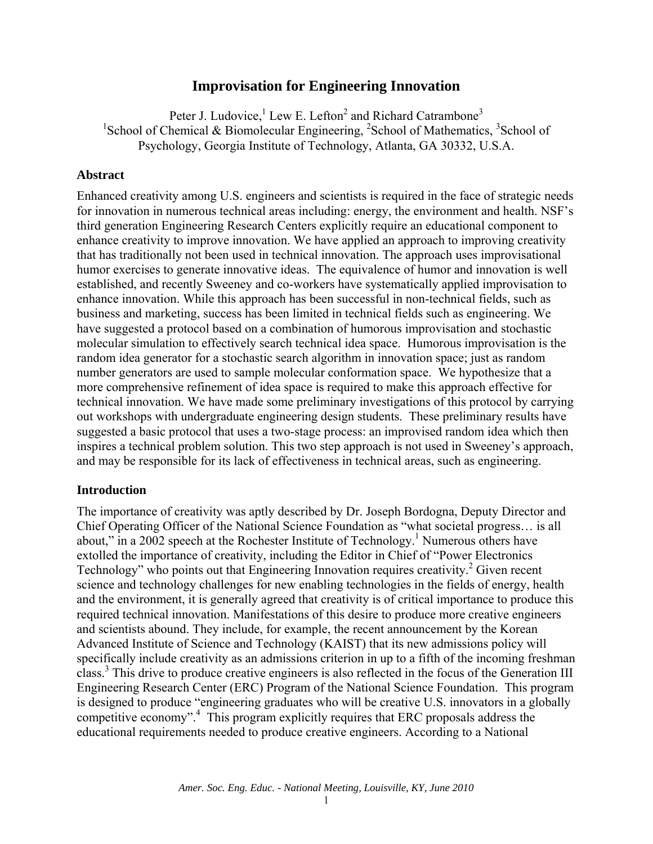# **Improvisation for Engineering Innovation**

Peter J. Ludovice,<sup>1</sup> Lew E. Lefton<sup>2</sup> and Richard Catrambone<sup>3</sup> <sup>1</sup>School of Chemical & Biomolecular Engineering,  ${}^{2}$ School of Mathematics,  ${}^{3}$ School of Psychology, Georgia Institute of Technology, Atlanta, GA 30332, U.S.A.

#### **Abstract**

Enhanced creativity among U.S. engineers and scientists is required in the face of strategic needs for innovation in numerous technical areas including: energy, the environment and health. NSF's third generation Engineering Research Centers explicitly require an educational component to enhance creativity to improve innovation. We have applied an approach to improving creativity that has traditionally not been used in technical innovation. The approach uses improvisational humor exercises to generate innovative ideas. The equivalence of humor and innovation is well established, and recently Sweeney and co-workers have systematically applied improvisation to enhance innovation. While this approach has been successful in non-technical fields, such as business and marketing, success has been limited in technical fields such as engineering. We have suggested a protocol based on a combination of humorous improvisation and stochastic molecular simulation to effectively search technical idea space. Humorous improvisation is the random idea generator for a stochastic search algorithm in innovation space; just as random number generators are used to sample molecular conformation space. We hypothesize that a more comprehensive refinement of idea space is required to make this approach effective for technical innovation. We have made some preliminary investigations of this protocol by carrying out workshops with undergraduate engineering design students. These preliminary results have suggested a basic protocol that uses a two-stage process: an improvised random idea which then inspires a technical problem solution. This two step approach is not used in Sweeney's approach, and may be responsible for its lack of effectiveness in technical areas, such as engineering.

#### **Introduction**

The importance of creativity was aptly described by Dr. Joseph Bordogna, Deputy Director and Chief Operating Officer of the National Science Foundation as "what societal progress… is all about," in a 2002 speech at the Rochester Institute of Technology.<sup>1</sup> Numerous others have extolled the importance of creativity, including the Editor in Chief of "Power Electronics Technology" who points out that Engineering Innovation requires creativity.<sup>2</sup> Given recent science and technology challenges for new enabling technologies in the fields of energy, health and the environment, it is generally agreed that creativity is of critical importance to produce this required technical innovation. Manifestations of this desire to produce more creative engineers and scientists abound. They include, for example, the recent announcement by the Korean Advanced Institute of Science and Technology (KAIST) that its new admissions policy will specifically include creativity as an admissions criterion in up to a fifth of the incoming freshman class.3 This drive to produce creative engineers is also reflected in the focus of the Generation III Engineering Research Center (ERC) Program of the National Science Foundation. This program is designed to produce "engineering graduates who will be creative U.S. innovators in a globally competitive economy".<sup>4</sup> This program explicitly requires that ERC proposals address the educational requirements needed to produce creative engineers. According to a National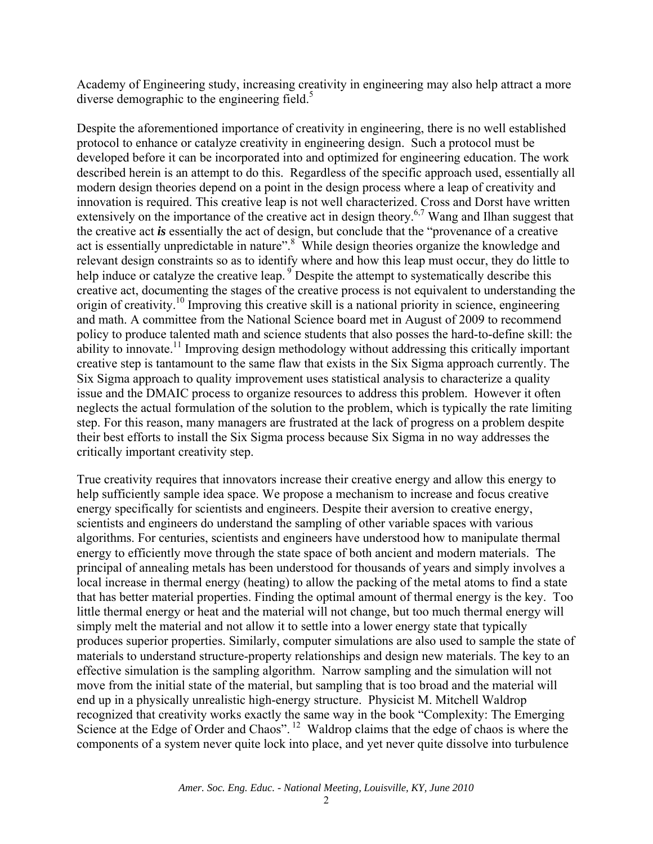Academy of Engineering study, increasing creativity in engineering may also help attract a more diverse demographic to the engineering field. $5$ 

Despite the aforementioned importance of creativity in engineering, there is no well established protocol to enhance or catalyze creativity in engineering design. Such a protocol must be developed before it can be incorporated into and optimized for engineering education. The work described herein is an attempt to do this. Regardless of the specific approach used, essentially all modern design theories depend on a point in the design process where a leap of creativity and innovation is required. This creative leap is not well characterized. Cross and Dorst have written extensively on the importance of the creative act in design theory.<sup>6,7</sup> Wang and Ilhan suggest that the creative act *is* essentially the act of design, but conclude that the "provenance of a creative act is essentially unpredictable in nature".<sup>8</sup> While design theories organize the knowledge and relevant design constraints so as to identify where and how this leap must occur, they do little to help induce or catalyze the creative leap. <sup>9</sup> Despite the attempt to systematically describe this creative act, documenting the stages of the creative process is not equivalent to understanding the origin of creativity.10 Improving this creative skill is a national priority in science, engineering and math. A committee from the National Science board met in August of 2009 to recommend policy to produce talented math and science students that also posses the hard-to-define skill: the ability to innovate.<sup>11</sup> Improving design methodology without addressing this critically important creative step is tantamount to the same flaw that exists in the Six Sigma approach currently. The Six Sigma approach to quality improvement uses statistical analysis to characterize a quality issue and the DMAIC process to organize resources to address this problem. However it often neglects the actual formulation of the solution to the problem, which is typically the rate limiting step. For this reason, many managers are frustrated at the lack of progress on a problem despite their best efforts to install the Six Sigma process because Six Sigma in no way addresses the critically important creativity step.

True creativity requires that innovators increase their creative energy and allow this energy to help sufficiently sample idea space. We propose a mechanism to increase and focus creative energy specifically for scientists and engineers. Despite their aversion to creative energy, scientists and engineers do understand the sampling of other variable spaces with various algorithms. For centuries, scientists and engineers have understood how to manipulate thermal energy to efficiently move through the state space of both ancient and modern materials. The principal of annealing metals has been understood for thousands of years and simply involves a local increase in thermal energy (heating) to allow the packing of the metal atoms to find a state that has better material properties. Finding the optimal amount of thermal energy is the key. Too little thermal energy or heat and the material will not change, but too much thermal energy will simply melt the material and not allow it to settle into a lower energy state that typically produces superior properties. Similarly, computer simulations are also used to sample the state of materials to understand structure-property relationships and design new materials. The key to an effective simulation is the sampling algorithm. Narrow sampling and the simulation will not move from the initial state of the material, but sampling that is too broad and the material will end up in a physically unrealistic high-energy structure. Physicist M. Mitchell Waldrop recognized that creativity works exactly the same way in the book "Complexity: The Emerging Science at the Edge of Order and Chaos". <sup>12</sup> Waldrop claims that the edge of chaos is where the components of a system never quite lock into place, and yet never quite dissolve into turbulence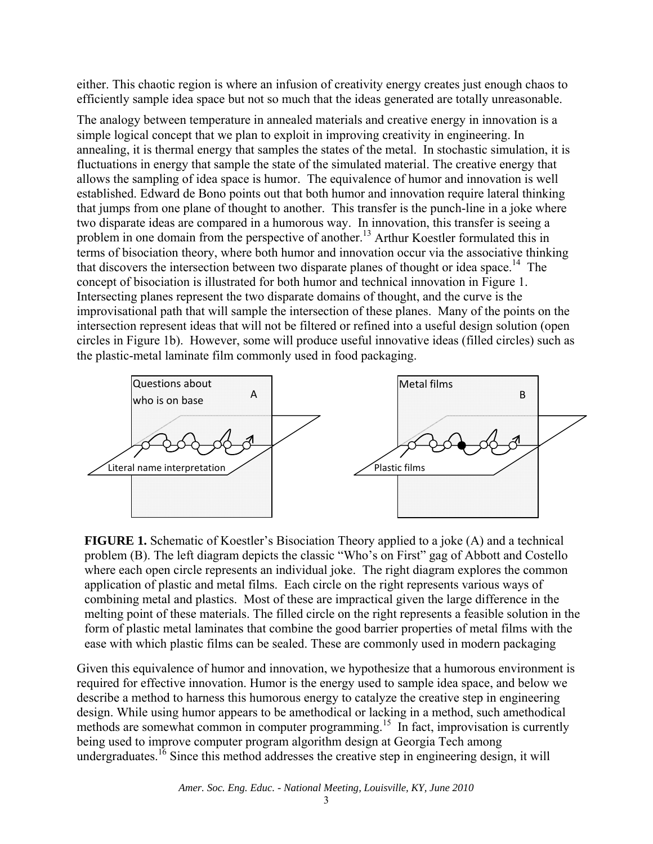either. This chaotic region is where an infusion of creativity energy creates just enough chaos to efficiently sample idea space but not so much that the ideas generated are totally unreasonable.

The analogy between temperature in annealed materials and creative energy in innovation is a simple logical concept that we plan to exploit in improving creativity in engineering. In annealing, it is thermal energy that samples the states of the metal. In stochastic simulation, it is fluctuations in energy that sample the state of the simulated material. The creative energy that allows the sampling of idea space is humor. The equivalence of humor and innovation is well established. Edward de Bono points out that both humor and innovation require lateral thinking that jumps from one plane of thought to another. This transfer is the punch-line in a joke where two disparate ideas are compared in a humorous way. In innovation, this transfer is seeing a problem in one domain from the perspective of another.13 Arthur Koestler formulated this in terms of bisociation theory, where both humor and innovation occur via the associative thinking that discovers the intersection between two disparate planes of thought or idea space.<sup>14</sup> The concept of bisociation is illustrated for both humor and technical innovation in Figure 1. Intersecting planes represent the two disparate domains of thought, and the curve is the improvisational path that will sample the intersection of these planes. Many of the points on the intersection represent ideas that will not be filtered or refined into a useful design solution (open circles in Figure 1b). However, some will produce useful innovative ideas (filled circles) such as the plastic-metal laminate film commonly used in food packaging.



**FIGURE 1.** Schematic of Koestler's Bisociation Theory applied to a joke (A) and a technical problem (B). The left diagram depicts the classic "Who's on First" gag of Abbott and Costello where each open circle represents an individual joke. The right diagram explores the common application of plastic and metal films. Each circle on the right represents various ways of combining metal and plastics. Most of these are impractical given the large difference in the melting point of these materials. The filled circle on the right represents a feasible solution in the form of plastic metal laminates that combine the good barrier properties of metal films with the ease with which plastic films can be sealed. These are commonly used in modern packaging

Given this equivalence of humor and innovation, we hypothesize that a humorous environment is required for effective innovation. Humor is the energy used to sample idea space, and below we describe a method to harness this humorous energy to catalyze the creative step in engineering design. While using humor appears to be amethodical or lacking in a method, such amethodical methods are somewhat common in computer programming.<sup>15</sup> In fact, improvisation is currently being used to improve computer program algorithm design at Georgia Tech among undergraduates.<sup>16</sup> Since this method addresses the creative step in engineering design, it will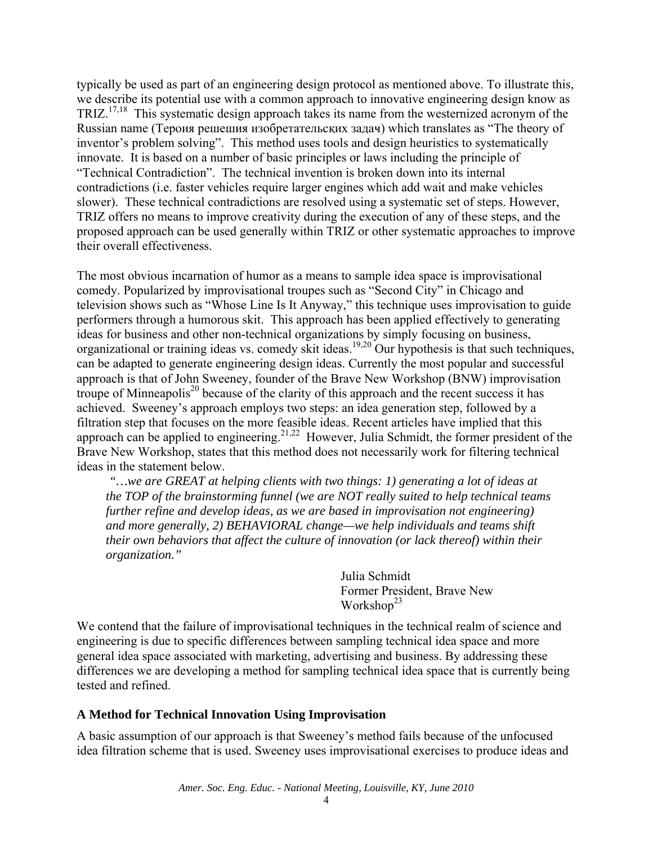typically be used as part of an engineering design protocol as mentioned above. To illustrate this, we describe its potential use with a common approach to innovative engineering design know as TRIZ.17,18 This systematic design approach takes its name from the westernized acronym of the Russian name (Тероия решешия изобретательских задач) which translates as "The theory of inventor's problem solving". This method uses tools and design heuristics to systematically innovate. It is based on a number of basic principles or laws including the principle of "Technical Contradiction". The technical invention is broken down into its internal contradictions (i.e. faster vehicles require larger engines which add wait and make vehicles slower). These technical contradictions are resolved using a systematic set of steps. However, TRIZ offers no means to improve creativity during the execution of any of these steps, and the proposed approach can be used generally within TRIZ or other systematic approaches to improve their overall effectiveness.

The most obvious incarnation of humor as a means to sample idea space is improvisational comedy. Popularized by improvisational troupes such as "Second City" in Chicago and television shows such as "Whose Line Is It Anyway," this technique uses improvisation to guide performers through a humorous skit. This approach has been applied effectively to generating ideas for business and other non-technical organizations by simply focusing on business, organizational or training ideas vs. comedy skit ideas.19,20 Our hypothesis is that such techniques, can be adapted to generate engineering design ideas. Currently the most popular and successful approach is that of John Sweeney, founder of the Brave New Workshop (BNW) improvisation troupe of Minneapolis<sup>20</sup> because of the clarity of this approach and the recent success it has achieved. Sweeney's approach employs two steps: an idea generation step, followed by a filtration step that focuses on the more feasible ideas. Recent articles have implied that this approach can be applied to engineering.<sup>21,22</sup> However, Julia Schmidt, the former president of the Brave New Workshop, states that this method does not necessarily work for filtering technical ideas in the statement below.

 *"…we are GREAT at helping clients with two things: 1) generating a lot of ideas at the TOP of the brainstorming funnel (we are NOT really suited to help technical teams further refine and develop ideas, as we are based in improvisation not engineering) and more generally, 2) BEHAVIORAL change—we help individuals and teams shift their own behaviors that affect the culture of innovation (or lack thereof) within their organization."* 

> Julia Schmidt Former President, Brave New Workshop<sup>23</sup>

We contend that the failure of improvisational techniques in the technical realm of science and engineering is due to specific differences between sampling technical idea space and more general idea space associated with marketing, advertising and business. By addressing these differences we are developing a method for sampling technical idea space that is currently being tested and refined.

## **A Method for Technical Innovation Using Improvisation**

A basic assumption of our approach is that Sweeney's method fails because of the unfocused idea filtration scheme that is used. Sweeney uses improvisational exercises to produce ideas and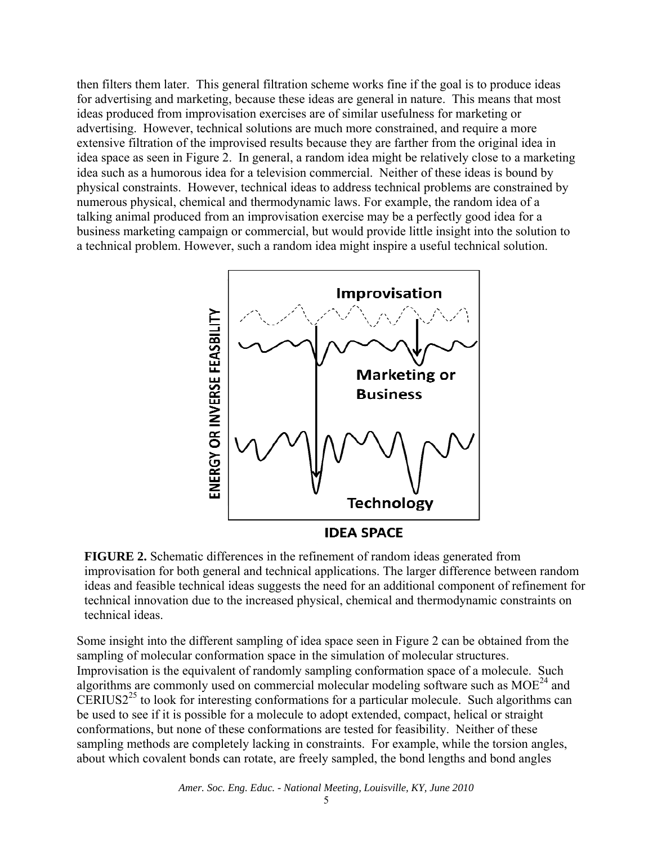then filters them later. This general filtration scheme works fine if the goal is to produce ideas for advertising and marketing, because these ideas are general in nature. This means that most ideas produced from improvisation exercises are of similar usefulness for marketing or advertising. However, technical solutions are much more constrained, and require a more extensive filtration of the improvised results because they are farther from the original idea in idea space as seen in Figure 2. In general, a random idea might be relatively close to a marketing idea such as a humorous idea for a television commercial. Neither of these ideas is bound by physical constraints. However, technical ideas to address technical problems are constrained by numerous physical, chemical and thermodynamic laws. For example, the random idea of a talking animal produced from an improvisation exercise may be a perfectly good idea for a business marketing campaign or commercial, but would provide little insight into the solution to a technical problem. However, such a random idea might inspire a useful technical solution.



**FIGURE 2.** Schematic differences in the refinement of random ideas generated from improvisation for both general and technical applications. The larger difference between random ideas and feasible technical ideas suggests the need for an additional component of refinement for technical innovation due to the increased physical, chemical and thermodynamic constraints on technical ideas.

Some insight into the different sampling of idea space seen in Figure 2 can be obtained from the sampling of molecular conformation space in the simulation of molecular structures. Improvisation is the equivalent of randomly sampling conformation space of a molecule. Such algorithms are commonly used on commercial molecular modeling software such as  $MOE<sup>24</sup>$  and CERIUS2<sup>25</sup> to look for interesting conformations for a particular molecule. Such algorithms can be used to see if it is possible for a molecule to adopt extended, compact, helical or straight conformations, but none of these conformations are tested for feasibility. Neither of these sampling methods are completely lacking in constraints. For example, while the torsion angles, about which covalent bonds can rotate, are freely sampled, the bond lengths and bond angles

*Amer. Soc. Eng. Educ. - National Meeting, Louisville, KY, June 2010*

5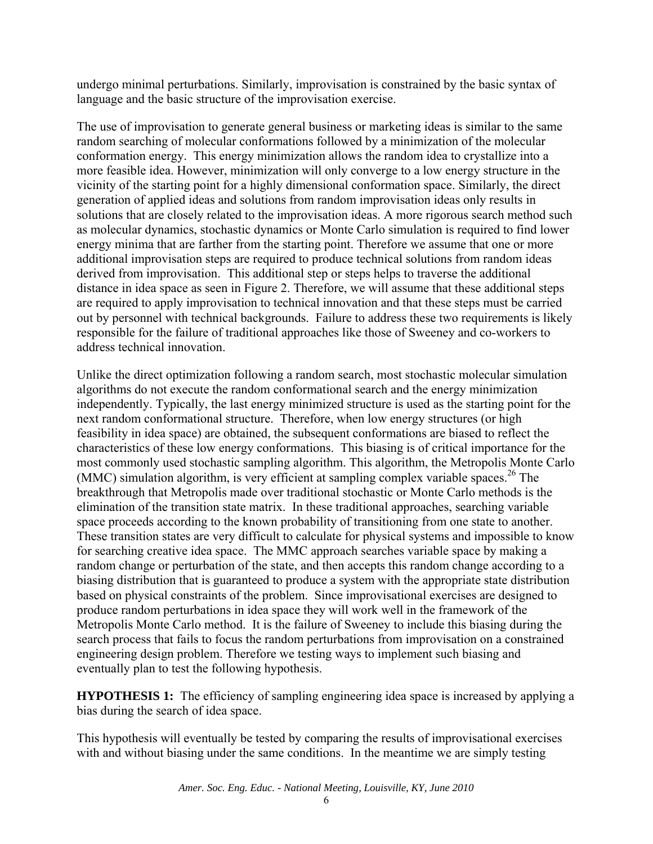undergo minimal perturbations. Similarly, improvisation is constrained by the basic syntax of language and the basic structure of the improvisation exercise.

The use of improvisation to generate general business or marketing ideas is similar to the same random searching of molecular conformations followed by a minimization of the molecular conformation energy. This energy minimization allows the random idea to crystallize into a more feasible idea. However, minimization will only converge to a low energy structure in the vicinity of the starting point for a highly dimensional conformation space. Similarly, the direct generation of applied ideas and solutions from random improvisation ideas only results in solutions that are closely related to the improvisation ideas. A more rigorous search method such as molecular dynamics, stochastic dynamics or Monte Carlo simulation is required to find lower energy minima that are farther from the starting point. Therefore we assume that one or more additional improvisation steps are required to produce technical solutions from random ideas derived from improvisation. This additional step or steps helps to traverse the additional distance in idea space as seen in Figure 2. Therefore, we will assume that these additional steps are required to apply improvisation to technical innovation and that these steps must be carried out by personnel with technical backgrounds. Failure to address these two requirements is likely responsible for the failure of traditional approaches like those of Sweeney and co-workers to address technical innovation.

Unlike the direct optimization following a random search, most stochastic molecular simulation algorithms do not execute the random conformational search and the energy minimization independently. Typically, the last energy minimized structure is used as the starting point for the next random conformational structure. Therefore, when low energy structures (or high feasibility in idea space) are obtained, the subsequent conformations are biased to reflect the characteristics of these low energy conformations. This biasing is of critical importance for the most commonly used stochastic sampling algorithm. This algorithm, the Metropolis Monte Carlo (MMC) simulation algorithm, is very efficient at sampling complex variable spaces.<sup>26</sup> The breakthrough that Metropolis made over traditional stochastic or Monte Carlo methods is the elimination of the transition state matrix. In these traditional approaches, searching variable space proceeds according to the known probability of transitioning from one state to another. These transition states are very difficult to calculate for physical systems and impossible to know for searching creative idea space. The MMC approach searches variable space by making a random change or perturbation of the state, and then accepts this random change according to a biasing distribution that is guaranteed to produce a system with the appropriate state distribution based on physical constraints of the problem. Since improvisational exercises are designed to produce random perturbations in idea space they will work well in the framework of the Metropolis Monte Carlo method. It is the failure of Sweeney to include this biasing during the search process that fails to focus the random perturbations from improvisation on a constrained engineering design problem. Therefore we testing ways to implement such biasing and eventually plan to test the following hypothesis.

**HYPOTHESIS 1:** The efficiency of sampling engineering idea space is increased by applying a bias during the search of idea space.

This hypothesis will eventually be tested by comparing the results of improvisational exercises with and without biasing under the same conditions. In the meantime we are simply testing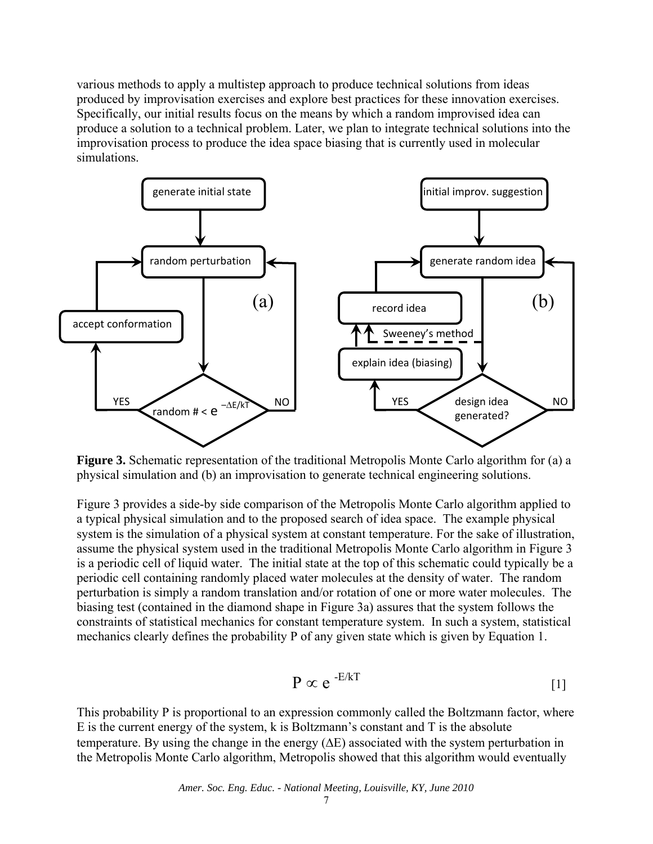various methods to apply a multistep approach to produce technical solutions from ideas produced by improvisation exercises and explore best practices for these innovation exercises. Specifically, our initial results focus on the means by which a random improvised idea can produce a solution to a technical problem. Later, we plan to integrate technical solutions into the improvisation process to produce the idea space biasing that is currently used in molecular simulations.



**Figure 3.** Schematic representation of the traditional Metropolis Monte Carlo algorithm for (a) a physical simulation and (b) an improvisation to generate technical engineering solutions.

Figure 3 provides a side-by side comparison of the Metropolis Monte Carlo algorithm applied to a typical physical simulation and to the proposed search of idea space. The example physical system is the simulation of a physical system at constant temperature. For the sake of illustration, assume the physical system used in the traditional Metropolis Monte Carlo algorithm in Figure 3 is a periodic cell of liquid water. The initial state at the top of this schematic could typically be a periodic cell containing randomly placed water molecules at the density of water. The random perturbation is simply a random translation and/or rotation of one or more water molecules. The biasing test (contained in the diamond shape in Figure 3a) assures that the system follows the constraints of statistical mechanics for constant temperature system. In such a system, statistical mechanics clearly defines the probability P of any given state which is given by Equation 1.

$$
\mathbf{P} \propto \mathbf{e}^{-\mathbf{E}/\mathbf{k}\mathbf{T}}
$$
 [1]

This probability P is proportional to an expression commonly called the Boltzmann factor, where  $E$  is the current energy of the system, k is Boltzmann's constant and  $T$  is the absolute temperature. By using the change in the energy  $(\Delta E)$  associated with the system perturbation in the Metropolis Monte Carlo algorithm, Metropolis showed that this algorithm would eventually

*Amer. Soc. Eng. Educ. - National Meeting, Louisville, KY, June 2010*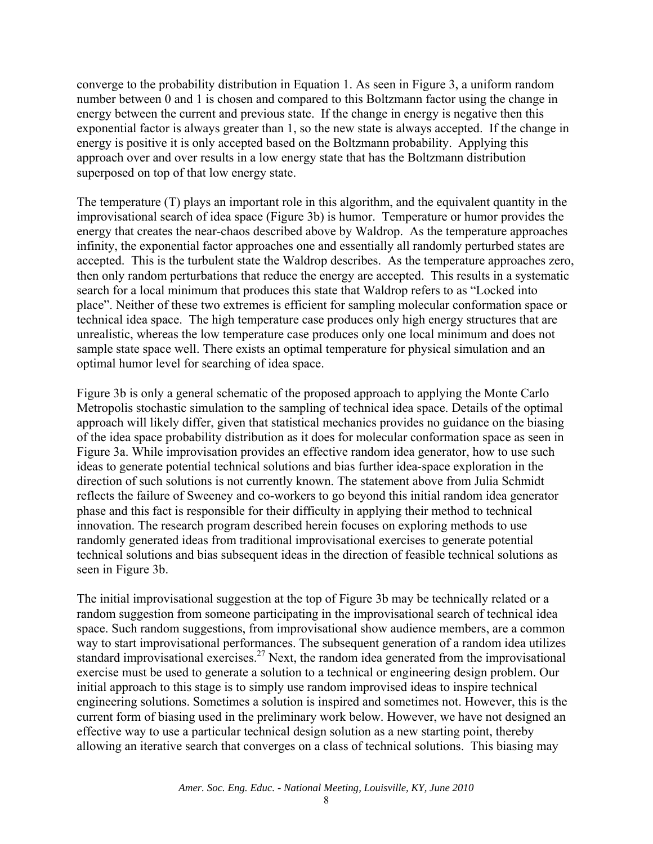converge to the probability distribution in Equation 1. As seen in Figure 3, a uniform random number between 0 and 1 is chosen and compared to this Boltzmann factor using the change in energy between the current and previous state. If the change in energy is negative then this exponential factor is always greater than 1, so the new state is always accepted. If the change in energy is positive it is only accepted based on the Boltzmann probability. Applying this approach over and over results in a low energy state that has the Boltzmann distribution superposed on top of that low energy state.

The temperature (T) plays an important role in this algorithm, and the equivalent quantity in the improvisational search of idea space (Figure 3b) is humor. Temperature or humor provides the energy that creates the near-chaos described above by Waldrop. As the temperature approaches infinity, the exponential factor approaches one and essentially all randomly perturbed states are accepted. This is the turbulent state the Waldrop describes. As the temperature approaches zero, then only random perturbations that reduce the energy are accepted. This results in a systematic search for a local minimum that produces this state that Waldrop refers to as "Locked into place". Neither of these two extremes is efficient for sampling molecular conformation space or technical idea space. The high temperature case produces only high energy structures that are unrealistic, whereas the low temperature case produces only one local minimum and does not sample state space well. There exists an optimal temperature for physical simulation and an optimal humor level for searching of idea space.

Figure 3b is only a general schematic of the proposed approach to applying the Monte Carlo Metropolis stochastic simulation to the sampling of technical idea space. Details of the optimal approach will likely differ, given that statistical mechanics provides no guidance on the biasing of the idea space probability distribution as it does for molecular conformation space as seen in Figure 3a. While improvisation provides an effective random idea generator, how to use such ideas to generate potential technical solutions and bias further idea-space exploration in the direction of such solutions is not currently known. The statement above from Julia Schmidt reflects the failure of Sweeney and co-workers to go beyond this initial random idea generator phase and this fact is responsible for their difficulty in applying their method to technical innovation. The research program described herein focuses on exploring methods to use randomly generated ideas from traditional improvisational exercises to generate potential technical solutions and bias subsequent ideas in the direction of feasible technical solutions as seen in Figure 3b.

The initial improvisational suggestion at the top of Figure 3b may be technically related or a random suggestion from someone participating in the improvisational search of technical idea space. Such random suggestions, from improvisational show audience members, are a common way to start improvisational performances. The subsequent generation of a random idea utilizes standard improvisational exercises.<sup>27</sup> Next, the random idea generated from the improvisational exercise must be used to generate a solution to a technical or engineering design problem. Our initial approach to this stage is to simply use random improvised ideas to inspire technical engineering solutions. Sometimes a solution is inspired and sometimes not. However, this is the current form of biasing used in the preliminary work below. However, we have not designed an effective way to use a particular technical design solution as a new starting point, thereby allowing an iterative search that converges on a class of technical solutions. This biasing may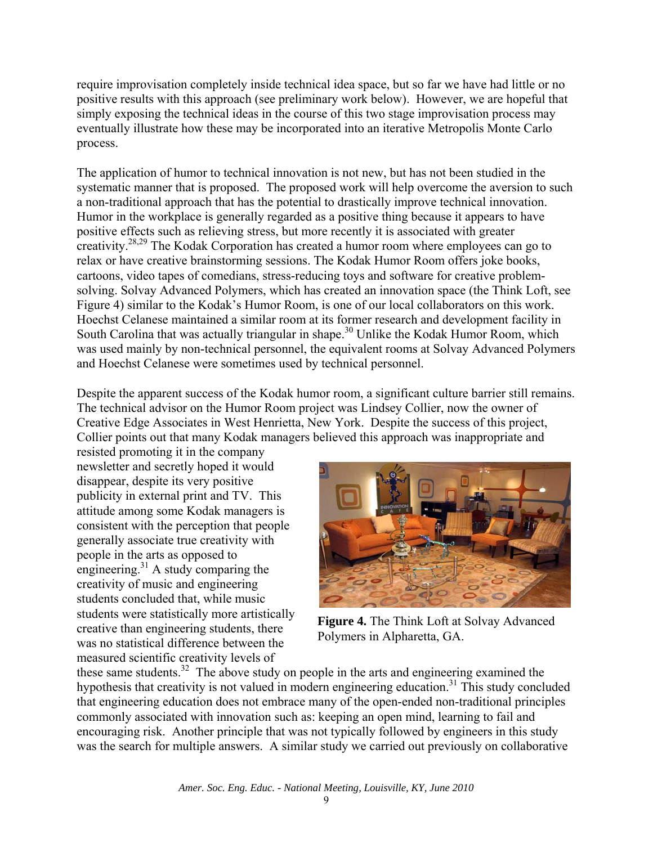require improvisation completely inside technical idea space, but so far we have had little or no positive results with this approach (see preliminary work below). However, we are hopeful that simply exposing the technical ideas in the course of this two stage improvisation process may eventually illustrate how these may be incorporated into an iterative Metropolis Monte Carlo process.

The application of humor to technical innovation is not new, but has not been studied in the systematic manner that is proposed. The proposed work will help overcome the aversion to such a non-traditional approach that has the potential to drastically improve technical innovation. Humor in the workplace is generally regarded as a positive thing because it appears to have positive effects such as relieving stress, but more recently it is associated with greater creativity.28,29 The Kodak Corporation has created a humor room where employees can go to relax or have creative brainstorming sessions. The Kodak Humor Room offers joke books, cartoons, video tapes of comedians, stress-reducing toys and software for creative problemsolving. Solvay Advanced Polymers, which has created an innovation space (the Think Loft, see Figure 4) similar to the Kodak's Humor Room, is one of our local collaborators on this work. Hoechst Celanese maintained a similar room at its former research and development facility in South Carolina that was actually triangular in shape.<sup>30</sup> Unlike the Kodak Humor Room, which was used mainly by non-technical personnel, the equivalent rooms at Solvay Advanced Polymers and Hoechst Celanese were sometimes used by technical personnel.

Despite the apparent success of the Kodak humor room, a significant culture barrier still remains. The technical advisor on the Humor Room project was Lindsey Collier, now the owner of Creative Edge Associates in West Henrietta, New York. Despite the success of this project, Collier points out that many Kodak managers believed this approach was inappropriate and

resisted promoting it in the company newsletter and secretly hoped it would disappear, despite its very positive publicity in external print and TV. This attitude among some Kodak managers is consistent with the perception that people generally associate true creativity with people in the arts as opposed to engineering.<sup>31</sup> A study comparing the creativity of music and engineering students concluded that, while music students were statistically more artistically creative than engineering students, there was no statistical difference between the measured scientific creativity levels of



**Figure 4.** The Think Loft at Solvay Advanced Polymers in Alpharetta, GA.

these same students.<sup>32</sup> The above study on people in the arts and engineering examined the hypothesis that creativity is not valued in modern engineering education.<sup>31</sup> This study concluded that engineering education does not embrace many of the open-ended non-traditional principles commonly associated with innovation such as: keeping an open mind, learning to fail and encouraging risk. Another principle that was not typically followed by engineers in this study was the search for multiple answers. A similar study we carried out previously on collaborative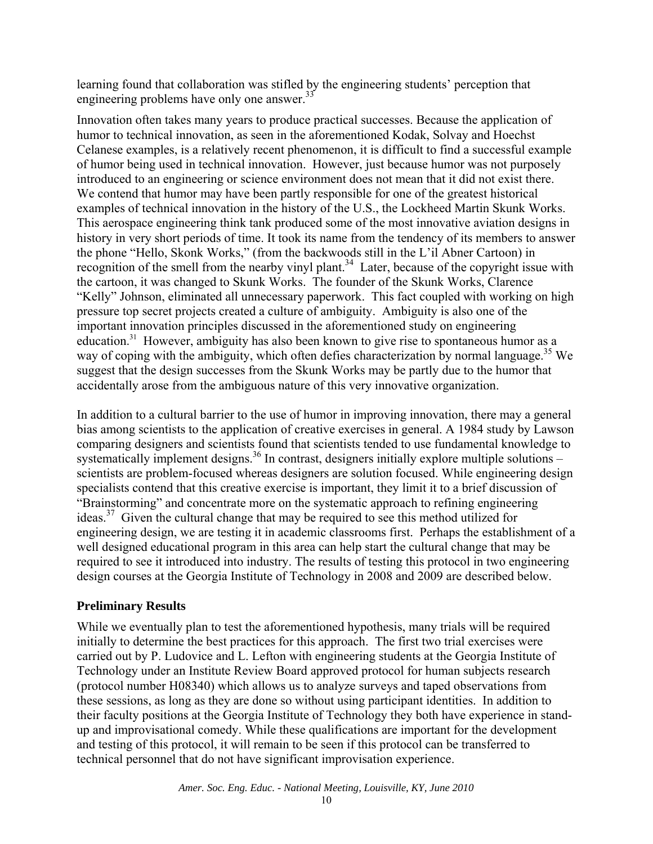learning found that collaboration was stifled by the engineering students' perception that engineering problems have only one answer.<sup>33</sup>

Innovation often takes many years to produce practical successes. Because the application of humor to technical innovation, as seen in the aforementioned Kodak, Solvay and Hoechst Celanese examples, is a relatively recent phenomenon, it is difficult to find a successful example of humor being used in technical innovation. However, just because humor was not purposely introduced to an engineering or science environment does not mean that it did not exist there. We contend that humor may have been partly responsible for one of the greatest historical examples of technical innovation in the history of the U.S., the Lockheed Martin Skunk Works. This aerospace engineering think tank produced some of the most innovative aviation designs in history in very short periods of time. It took its name from the tendency of its members to answer the phone "Hello, Skonk Works," (from the backwoods still in the L'il Abner Cartoon) in recognition of the smell from the nearby vinyl plant.<sup>34</sup> Later, because of the copyright issue with the cartoon, it was changed to Skunk Works. The founder of the Skunk Works, Clarence "Kelly" Johnson, eliminated all unnecessary paperwork. This fact coupled with working on high pressure top secret projects created a culture of ambiguity. Ambiguity is also one of the important innovation principles discussed in the aforementioned study on engineering education.<sup>31</sup> However, ambiguity has also been known to give rise to spontaneous humor as a way of coping with the ambiguity, which often defies characterization by normal language.<sup>35</sup> We suggest that the design successes from the Skunk Works may be partly due to the humor that accidentally arose from the ambiguous nature of this very innovative organization.

In addition to a cultural barrier to the use of humor in improving innovation, there may a general bias among scientists to the application of creative exercises in general. A 1984 study by Lawson comparing designers and scientists found that scientists tended to use fundamental knowledge to systematically implement designs.<sup>36</sup> In contrast, designers initially explore multiple solutions – scientists are problem-focused whereas designers are solution focused. While engineering design specialists contend that this creative exercise is important, they limit it to a brief discussion of "Brainstorming" and concentrate more on the systematic approach to refining engineering ideas.37 Given the cultural change that may be required to see this method utilized for engineering design, we are testing it in academic classrooms first. Perhaps the establishment of a well designed educational program in this area can help start the cultural change that may be required to see it introduced into industry. The results of testing this protocol in two engineering design courses at the Georgia Institute of Technology in 2008 and 2009 are described below.

## **Preliminary Results**

While we eventually plan to test the aforementioned hypothesis, many trials will be required initially to determine the best practices for this approach. The first two trial exercises were carried out by P. Ludovice and L. Lefton with engineering students at the Georgia Institute of Technology under an Institute Review Board approved protocol for human subjects research (protocol number H08340) which allows us to analyze surveys and taped observations from these sessions, as long as they are done so without using participant identities. In addition to their faculty positions at the Georgia Institute of Technology they both have experience in standup and improvisational comedy. While these qualifications are important for the development and testing of this protocol, it will remain to be seen if this protocol can be transferred to technical personnel that do not have significant improvisation experience.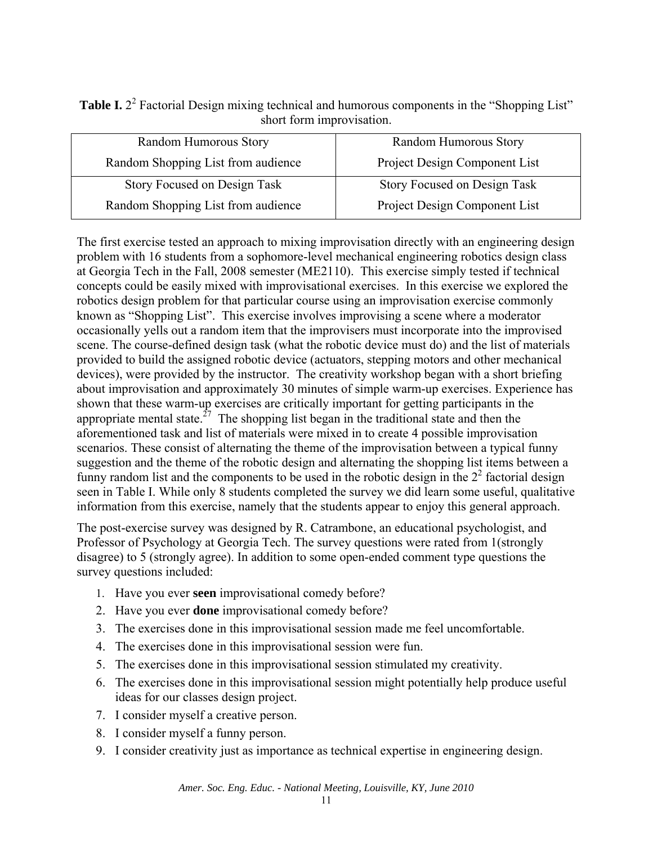| <b>Table I.</b> $22$ Factorial Design mixing technical and humorous components in the "Shopping List" |
|-------------------------------------------------------------------------------------------------------|
| short form improvisation.                                                                             |

| Random Humorous Story              | Random Humorous Story         |
|------------------------------------|-------------------------------|
| Random Shopping List from audience | Project Design Component List |
| Story Focused on Design Task       | Story Focused on Design Task  |
| Random Shopping List from audience | Project Design Component List |

The first exercise tested an approach to mixing improvisation directly with an engineering design problem with 16 students from a sophomore-level mechanical engineering robotics design class at Georgia Tech in the Fall, 2008 semester (ME2110). This exercise simply tested if technical concepts could be easily mixed with improvisational exercises. In this exercise we explored the robotics design problem for that particular course using an improvisation exercise commonly known as "Shopping List". This exercise involves improvising a scene where a moderator occasionally yells out a random item that the improvisers must incorporate into the improvised scene. The course-defined design task (what the robotic device must do) and the list of materials provided to build the assigned robotic device (actuators, stepping motors and other mechanical devices), were provided by the instructor. The creativity workshop began with a short briefing about improvisation and approximately 30 minutes of simple warm-up exercises. Experience has shown that these warm-up exercises are critically important for getting participants in the appropriate mental state.<sup>27</sup> The shopping list began in the traditional state and then the aforementioned task and list of materials were mixed in to create 4 possible improvisation scenarios. These consist of alternating the theme of the improvisation between a typical funny suggestion and the theme of the robotic design and alternating the shopping list items between a funny random list and the components to be used in the robotic design in the  $2<sup>2</sup>$  factorial design seen in Table I. While only 8 students completed the survey we did learn some useful, qualitative information from this exercise, namely that the students appear to enjoy this general approach.

The post-exercise survey was designed by R. Catrambone, an educational psychologist, and Professor of Psychology at Georgia Tech. The survey questions were rated from 1(strongly disagree) to 5 (strongly agree). In addition to some open-ended comment type questions the survey questions included:

- 1. Have you ever **seen** improvisational comedy before?
- 2. Have you ever **done** improvisational comedy before?
- 3. The exercises done in this improvisational session made me feel uncomfortable.
- 4. The exercises done in this improvisational session were fun.
- 5. The exercises done in this improvisational session stimulated my creativity.
- 6. The exercises done in this improvisational session might potentially help produce useful ideas for our classes design project.
- 7. I consider myself a creative person.
- 8. I consider myself a funny person.
- 9. I consider creativity just as importance as technical expertise in engineering design.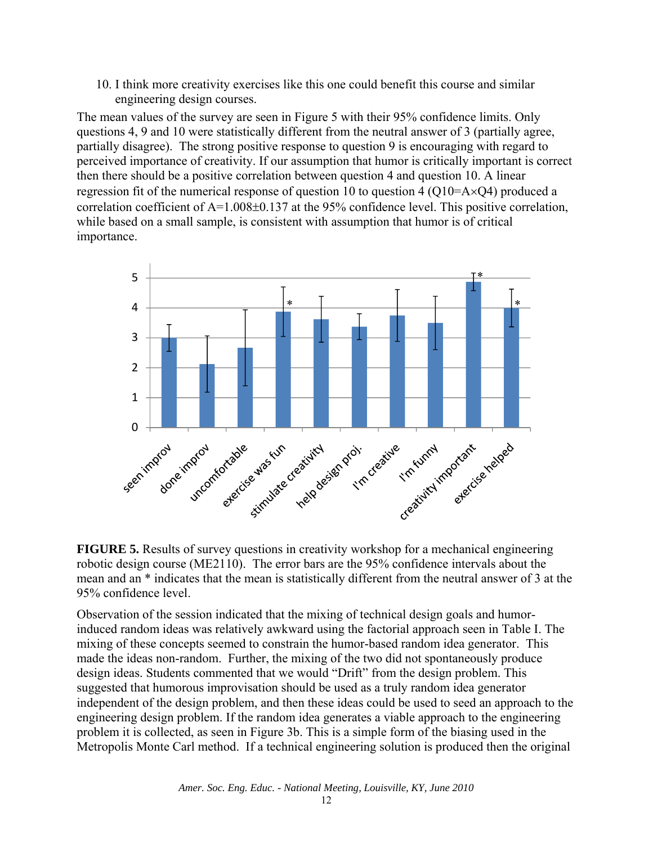10. I think more creativity exercises like this one could benefit this course and similar engineering design courses.

The mean values of the survey are seen in Figure 5 with their 95% confidence limits. Only questions 4, 9 and 10 were statistically different from the neutral answer of 3 (partially agree, partially disagree). The strong positive response to question 9 is encouraging with regard to perceived importance of creativity. If our assumption that humor is critically important is correct then there should be a positive correlation between question 4 and question 10. A linear regression fit of the numerical response of question 10 to question 4 (Q10=A $\times$ Q4) produced a correlation coefficient of A=1.008±0.137 at the 95% confidence level. This positive correlation, while based on a small sample, is consistent with assumption that humor is of critical importance.



**FIGURE 5.** Results of survey questions in creativity workshop for a mechanical engineering robotic design course (ME2110). The error bars are the 95% confidence intervals about the mean and an \* indicates that the mean is statistically different from the neutral answer of 3 at the 95% confidence level.

Observation of the session indicated that the mixing of technical design goals and humorinduced random ideas was relatively awkward using the factorial approach seen in Table I. The mixing of these concepts seemed to constrain the humor-based random idea generator. This made the ideas non-random. Further, the mixing of the two did not spontaneously produce design ideas. Students commented that we would "Drift" from the design problem. This suggested that humorous improvisation should be used as a truly random idea generator independent of the design problem, and then these ideas could be used to seed an approach to the engineering design problem. If the random idea generates a viable approach to the engineering problem it is collected, as seen in Figure 3b. This is a simple form of the biasing used in the Metropolis Monte Carl method. If a technical engineering solution is produced then the original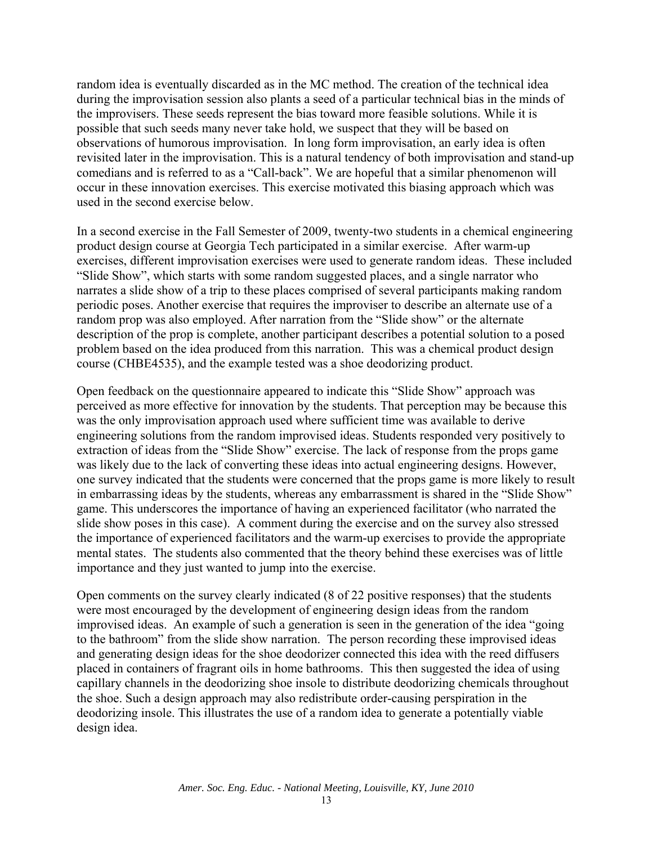random idea is eventually discarded as in the MC method. The creation of the technical idea during the improvisation session also plants a seed of a particular technical bias in the minds of the improvisers. These seeds represent the bias toward more feasible solutions. While it is possible that such seeds many never take hold, we suspect that they will be based on observations of humorous improvisation. In long form improvisation, an early idea is often revisited later in the improvisation. This is a natural tendency of both improvisation and stand-up comedians and is referred to as a "Call-back". We are hopeful that a similar phenomenon will occur in these innovation exercises. This exercise motivated this biasing approach which was used in the second exercise below.

In a second exercise in the Fall Semester of 2009, twenty-two students in a chemical engineering product design course at Georgia Tech participated in a similar exercise. After warm-up exercises, different improvisation exercises were used to generate random ideas. These included "Slide Show", which starts with some random suggested places, and a single narrator who narrates a slide show of a trip to these places comprised of several participants making random periodic poses. Another exercise that requires the improviser to describe an alternate use of a random prop was also employed. After narration from the "Slide show" or the alternate description of the prop is complete, another participant describes a potential solution to a posed problem based on the idea produced from this narration. This was a chemical product design course (CHBE4535), and the example tested was a shoe deodorizing product.

Open feedback on the questionnaire appeared to indicate this "Slide Show" approach was perceived as more effective for innovation by the students. That perception may be because this was the only improvisation approach used where sufficient time was available to derive engineering solutions from the random improvised ideas. Students responded very positively to extraction of ideas from the "Slide Show" exercise. The lack of response from the props game was likely due to the lack of converting these ideas into actual engineering designs. However, one survey indicated that the students were concerned that the props game is more likely to result in embarrassing ideas by the students, whereas any embarrassment is shared in the "Slide Show" game. This underscores the importance of having an experienced facilitator (who narrated the slide show poses in this case). A comment during the exercise and on the survey also stressed the importance of experienced facilitators and the warm-up exercises to provide the appropriate mental states. The students also commented that the theory behind these exercises was of little importance and they just wanted to jump into the exercise.

Open comments on the survey clearly indicated (8 of 22 positive responses) that the students were most encouraged by the development of engineering design ideas from the random improvised ideas. An example of such a generation is seen in the generation of the idea "going to the bathroom" from the slide show narration. The person recording these improvised ideas and generating design ideas for the shoe deodorizer connected this idea with the reed diffusers placed in containers of fragrant oils in home bathrooms. This then suggested the idea of using capillary channels in the deodorizing shoe insole to distribute deodorizing chemicals throughout the shoe. Such a design approach may also redistribute order-causing perspiration in the deodorizing insole. This illustrates the use of a random idea to generate a potentially viable design idea.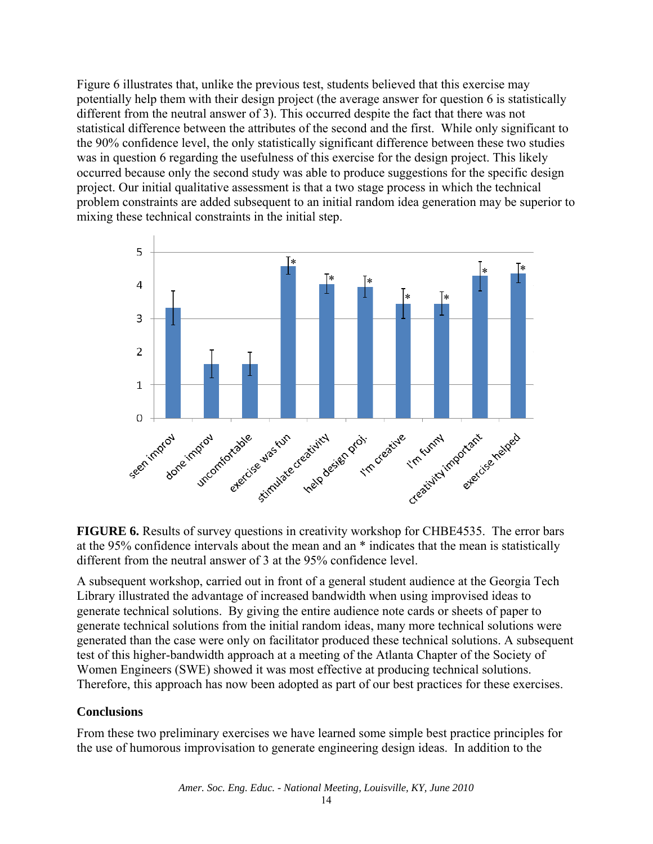Figure 6 illustrates that, unlike the previous test, students believed that this exercise may potentially help them with their design project (the average answer for question 6 is statistically different from the neutral answer of 3). This occurred despite the fact that there was not statistical difference between the attributes of the second and the first. While only significant to the 90% confidence level, the only statistically significant difference between these two studies was in question 6 regarding the usefulness of this exercise for the design project. This likely occurred because only the second study was able to produce suggestions for the specific design project. Our initial qualitative assessment is that a two stage process in which the technical problem constraints are added subsequent to an initial random idea generation may be superior to mixing these technical constraints in the initial step.



**FIGURE 6.** Results of survey questions in creativity workshop for CHBE4535. The error bars at the 95% confidence intervals about the mean and an \* indicates that the mean is statistically different from the neutral answer of 3 at the 95% confidence level.

A subsequent workshop, carried out in front of a general student audience at the Georgia Tech Library illustrated the advantage of increased bandwidth when using improvised ideas to generate technical solutions. By giving the entire audience note cards or sheets of paper to generate technical solutions from the initial random ideas, many more technical solutions were generated than the case were only on facilitator produced these technical solutions. A subsequent test of this higher-bandwidth approach at a meeting of the Atlanta Chapter of the Society of Women Engineers (SWE) showed it was most effective at producing technical solutions. Therefore, this approach has now been adopted as part of our best practices for these exercises.

# **Conclusions**

From these two preliminary exercises we have learned some simple best practice principles for the use of humorous improvisation to generate engineering design ideas. In addition to the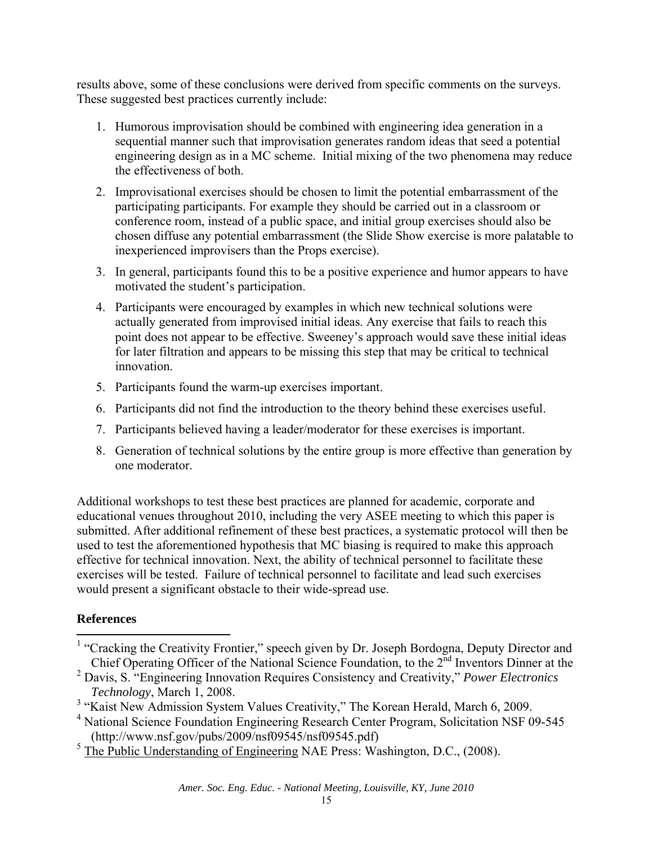results above, some of these conclusions were derived from specific comments on the surveys. These suggested best practices currently include:

- 1. Humorous improvisation should be combined with engineering idea generation in a sequential manner such that improvisation generates random ideas that seed a potential engineering design as in a MC scheme. Initial mixing of the two phenomena may reduce the effectiveness of both.
- 2. Improvisational exercises should be chosen to limit the potential embarrassment of the participating participants. For example they should be carried out in a classroom or conference room, instead of a public space, and initial group exercises should also be chosen diffuse any potential embarrassment (the Slide Show exercise is more palatable to inexperienced improvisers than the Props exercise).
- 3. In general, participants found this to be a positive experience and humor appears to have motivated the student's participation.
- 4. Participants were encouraged by examples in which new technical solutions were actually generated from improvised initial ideas. Any exercise that fails to reach this point does not appear to be effective. Sweeney's approach would save these initial ideas for later filtration and appears to be missing this step that may be critical to technical innovation.
- 5. Participants found the warm-up exercises important.
- 6. Participants did not find the introduction to the theory behind these exercises useful.
- 7. Participants believed having a leader/moderator for these exercises is important.
- 8. Generation of technical solutions by the entire group is more effective than generation by one moderator.

Additional workshops to test these best practices are planned for academic, corporate and educational venues throughout 2010, including the very ASEE meeting to which this paper is submitted. After additional refinement of these best practices, a systematic protocol will then be used to test the aforementioned hypothesis that MC biasing is required to make this approach effective for technical innovation. Next, the ability of technical personnel to facilitate these exercises will be tested. Failure of technical personnel to facilitate and lead such exercises would present a significant obstacle to their wide-spread use.

# **References**

 $<sup>5</sup>$  The Public Understanding of Engineering NAE Press: Washington, D.C., (2008).</sup>

<sup>&</sup>lt;sup>1</sup> "Cracking the Creativity Frontier," speech given by Dr. Joseph Bordogna, Deputy Director and Chief Operating Officer of the National Science Foundation, to the 2<sup>nd</sup> Inventors Dinner at the

<sup>2</sup> Davis, S. "Engineering Innovation Requires Consistency and Creativity," *Power Electronics Technology*, March 1, 2008.

<sup>&</sup>lt;sup>3</sup> "Kaist New Admission System Values Creativity," The Korean Herald, March 6, 2009.

<sup>&</sup>lt;sup>4</sup> National Science Foundation Engineering Research Center Program, Solicitation NSF 09-545 (http://www.nsf.gov/pubs/2009/nsf09545/nsf09545.pdf)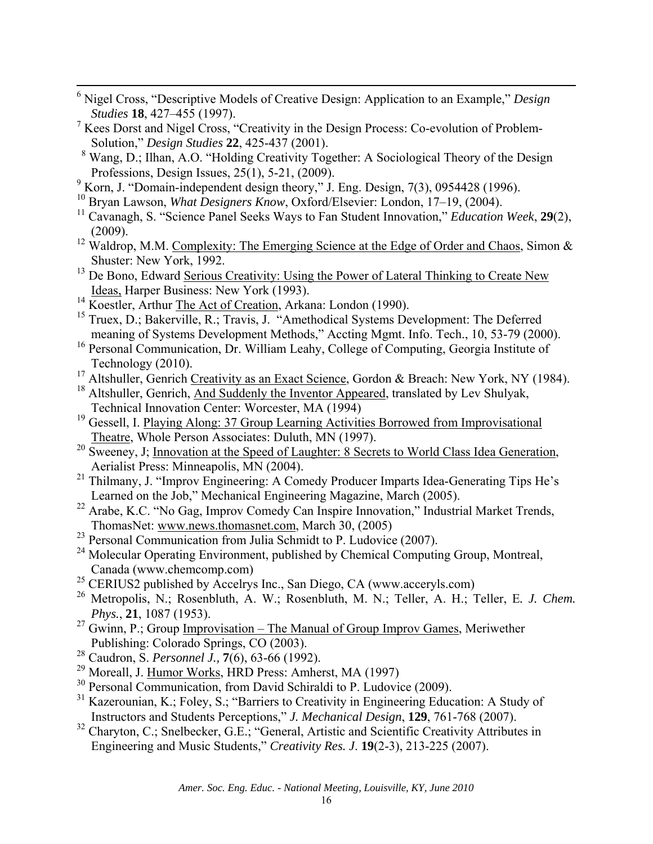- 6 Nigel Cross, "Descriptive Models of Creative Design: Application to an Example," *Design Studies* **18**, 427–455 (1997).
- <sup>7</sup> Kees Dorst and Nigel Cross, "Creativity in the Design Process: Co-evolution of Problem-Solution," *Design Studies* **22**, 425-437 (2001).
- <sup>8</sup> Wang, D.; Ilhan, A.O. "Holding Creativity Together: A Sociological Theory of the Design Professions, Design Issues, 25(1), 5-21, (2009).
- <sup>9</sup> Korn, J. "Domain-independent design theory," J. Eng. Design, 7(3), 0954428 (1996).
- 10 Bryan Lawson, *What Designers Know*, Oxford/Elsevier: London, 17–19, (2004).
- 11 Cavanagh, S. "Science Panel Seeks Ways to Fan Student Innovation," *Education Week*, **29**(2), (2009).
- <sup>12</sup> Waldrop, M.M. Complexity: The Emerging Science at the Edge of Order and Chaos, Simon & Shuster: New York, 1992.
- <sup>13</sup> De Bono, Edward Serious Creativity: Using the Power of Lateral Thinking to Create New Ideas, Harper Business: New York (1993).
- <sup>14</sup> Koestler, Arthur The Act of Creation, Arkana: London (1990).
- <sup>15</sup> Truex, D.; Bakerville, R.; Travis, J. "Amethodical Systems Development: The Deferred meaning of Systems Development Methods," Accting Mgmt. Info. Tech., 10, 53-79 (2000).
- <sup>16</sup> Personal Communication, Dr. William Leahy, College of Computing, Georgia Institute of Technology (2010).
- <sup>17</sup> Altshuller, Genrich Creativity as an Exact Science, Gordon & Breach: New York, NY (1984).
- <sup>18</sup> Altshuller, Genrich, And Suddenly the Inventor Appeared, translated by Lev Shulyak, Technical Innovation Center: Worcester, MA (1994)
- <sup>19</sup> Gessell, I. Playing Along: 37 Group Learning Activities Borrowed from Improvisational Theatre, Whole Person Associates: Duluth, MN (1997).
- <sup>20</sup> Sweeney, J; <u>Innovation at the Speed of Laughter: 8 Secrets to World Class Idea Generation</u>, Aerialist Press: Minneapolis, MN (2004).
- <sup>21</sup> Thilmany, J. "Improv Engineering: A Comedy Producer Imparts Idea-Generating Tips He's Learned on the Job," Mechanical Engineering Magazine, March (2005).
- <sup>22</sup> Arabe, K.C. "No Gag, Improv Comedy Can Inspire Innovation," Industrial Market Trends, ThomasNet: www.news.thomasnet.com, March 30, (2005)
- $^{23}$  Personal Communication from Julia Schmidt to P. Ludovice (2007).
- <sup>24</sup> Molecular Operating Environment, published by Chemical Computing Group, Montreal, Canada (www.chemcomp.com)
- $25$  CERIUS2 published by Accelrys Inc., San Diego, CA (www.acceryls.com)
- 26 Metropolis, N.; Rosenbluth, A. W.; Rosenbluth, M. N.; Teller, A. H.; Teller, E*. J. Chem. Phys.*, **21**, 1087 (1953).
- <sup>27</sup> Gwinn, P.; Group Improvisation The Manual of Group Improv Games, Meriwether Publishing: Colorado Springs, CO (2003).
- 28 Caudron, S. *Personnel J.,* **7**(6), 63-66 (1992).
- 29 Moreall, J. Humor Works, HRD Press: Amherst, MA (1997)
- <sup>30</sup> Personal Communication, from David Schiraldi to P. Ludovice (2009).
- <sup>31</sup> Kazerounian, K.; Foley, S.; "Barriers to Creativity in Engineering Education: A Study of Instructors and Students Perceptions," *J. Mechanical Design*, **129**, 761-768 (2007).
- <sup>32</sup> Charyton, C.; Snelbecker, G.E.; "General, Artistic and Scientific Creativity Attributes in Engineering and Music Students," *Creativity Res. J*. **19**(2-3), 213-225 (2007).